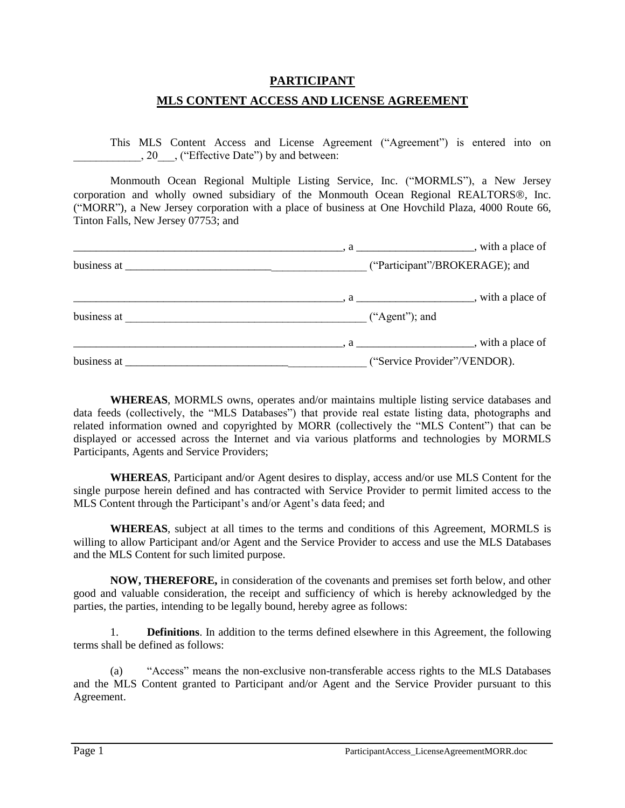### **PARTICIPANT**

### **MLS CONTENT ACCESS AND LICENSE AGREEMENT**

This MLS Content Access and License Agreement ("Agreement") is entered into on . 20 \, ("Effective Date") by and between:

Monmouth Ocean Regional Multiple Listing Service, Inc. ("MORMLS"), a New Jersey corporation and wholly owned subsidiary of the Monmouth Ocean Regional REALTORS®, Inc. ("MORR"), a New Jersey corporation with a place of business at One Hovchild Plaza, 4000 Route 66, Tinton Falls, New Jersey 07753; and

|             |                              | $\frac{1}{2}$ , a $\frac{1}{2}$ , with a place of |
|-------------|------------------------------|---------------------------------------------------|
|             |                              | ("Participant"/BROKERAGE); and                    |
|             |                              | $\frac{1}{2}$ , a $\frac{1}{2}$ , with a place of |
| business at |                              | $("Agent")$ ; and                                 |
|             |                              | $\frac{1}{2}$ , a $\frac{1}{2}$ with a place of   |
| business at | ("Service Provider"/VENDOR). |                                                   |

**WHEREAS**, MORMLS owns, operates and/or maintains multiple listing service databases and data feeds (collectively, the "MLS Databases") that provide real estate listing data, photographs and related information owned and copyrighted by MORR (collectively the "MLS Content") that can be displayed or accessed across the Internet and via various platforms and technologies by MORMLS Participants, Agents and Service Providers;

**WHEREAS**, Participant and/or Agent desires to display, access and/or use MLS Content for the single purpose herein defined and has contracted with Service Provider to permit limited access to the MLS Content through the Participant's and/or Agent's data feed; and

**WHEREAS**, subject at all times to the terms and conditions of this Agreement, MORMLS is willing to allow Participant and/or Agent and the Service Provider to access and use the MLS Databases and the MLS Content for such limited purpose.

**NOW, THEREFORE,** in consideration of the covenants and premises set forth below, and other good and valuable consideration, the receipt and sufficiency of which is hereby acknowledged by the parties, the parties, intending to be legally bound, hereby agree as follows:

1. **Definitions**. In addition to the terms defined elsewhere in this Agreement, the following terms shall be defined as follows:

(a) "Access" means the non-exclusive non-transferable access rights to the MLS Databases and the MLS Content granted to Participant and/or Agent and the Service Provider pursuant to this Agreement.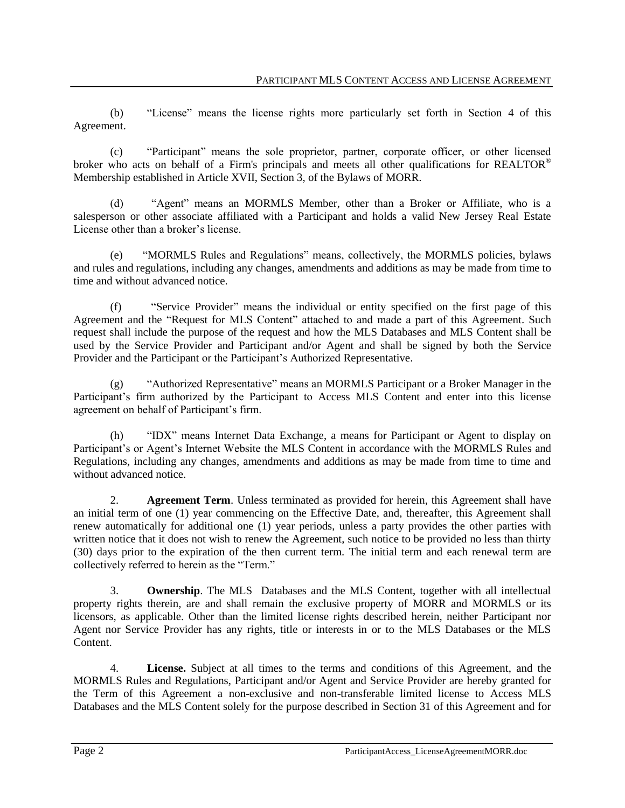(b) "License" means the license rights more particularly set forth in Section 4 of this Agreement.

(c) "Participant" means the sole proprietor, partner, corporate officer, or other licensed broker who acts on behalf of a Firm's principals and meets all other qualifications for REALTOR® Membership established in Article XVII, Section 3, of the Bylaws of MORR.

(d) "Agent" means an MORMLS Member, other than a Broker or Affiliate, who is a salesperson or other associate affiliated with a Participant and holds a valid New Jersey Real Estate License other than a broker's license.

(e) "MORMLS Rules and Regulations" means, collectively, the MORMLS policies, bylaws and rules and regulations, including any changes, amendments and additions as may be made from time to time and without advanced notice.

(f) "Service Provider" means the individual or entity specified on the first page of this Agreement and the "Request for MLS Content" attached to and made a part of this Agreement. Such request shall include the purpose of the request and how the MLS Databases and MLS Content shall be used by the Service Provider and Participant and/or Agent and shall be signed by both the Service Provider and the Participant or the Participant's Authorized Representative.

(g) "Authorized Representative" means an MORMLS Participant or a Broker Manager in the Participant's firm authorized by the Participant to Access MLS Content and enter into this license agreement on behalf of Participant's firm.

(h) "IDX" means Internet Data Exchange, a means for Participant or Agent to display on Participant's or Agent's Internet Website the MLS Content in accordance with the MORMLS Rules and Regulations, including any changes, amendments and additions as may be made from time to time and without advanced notice.

2. **Agreement Term**. Unless terminated as provided for herein, this Agreement shall have an initial term of one (1) year commencing on the Effective Date, and, thereafter, this Agreement shall renew automatically for additional one (1) year periods, unless a party provides the other parties with written notice that it does not wish to renew the Agreement, such notice to be provided no less than thirty (30) days prior to the expiration of the then current term. The initial term and each renewal term are collectively referred to herein as the "Term."

3. **Ownership**. The MLS Databases and the MLS Content, together with all intellectual property rights therein, are and shall remain the exclusive property of MORR and MORMLS or its licensors, as applicable. Other than the limited license rights described herein, neither Participant nor Agent nor Service Provider has any rights, title or interests in or to the MLS Databases or the MLS Content.

4. **License.** Subject at all times to the terms and conditions of this Agreement, and the MORMLS Rules and Regulations, Participant and/or Agent and Service Provider are hereby granted for the Term of this Agreement a non-exclusive and non-transferable limited license to Access MLS Databases and the MLS Content solely for the purpose described in Section 31 of this Agreement and for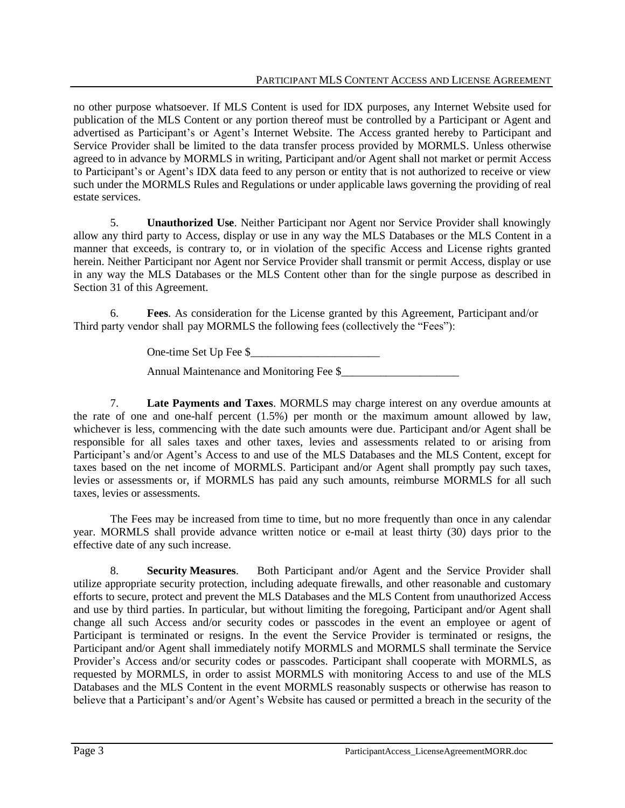no other purpose whatsoever. If MLS Content is used for IDX purposes, any Internet Website used for publication of the MLS Content or any portion thereof must be controlled by a Participant or Agent and advertised as Participant's or Agent's Internet Website. The Access granted hereby to Participant and Service Provider shall be limited to the data transfer process provided by MORMLS. Unless otherwise agreed to in advance by MORMLS in writing, Participant and/or Agent shall not market or permit Access to Participant's or Agent's IDX data feed to any person or entity that is not authorized to receive or view such under the MORMLS Rules and Regulations or under applicable laws governing the providing of real estate services.

5. **Unauthorized Use**. Neither Participant nor Agent nor Service Provider shall knowingly allow any third party to Access, display or use in any way the MLS Databases or the MLS Content in a manner that exceeds, is contrary to, or in violation of the specific Access and License rights granted herein. Neither Participant nor Agent nor Service Provider shall transmit or permit Access, display or use in any way the MLS Databases or the MLS Content other than for the single purpose as described in Section 31 of this Agreement.

6. **Fees**. As consideration for the License granted by this Agreement, Participant and/or Third party vendor shall pay MORMLS the following fees (collectively the "Fees"):

One-time Set Up Fee \$\_\_\_\_\_\_\_\_\_\_\_\_\_\_\_\_\_\_\_\_\_\_\_

Annual Maintenance and Monitoring Fee \$

7. **Late Payments and Taxes**. MORMLS may charge interest on any overdue amounts at the rate of one and one-half percent (1.5%) per month or the maximum amount allowed by law, whichever is less, commencing with the date such amounts were due. Participant and/or Agent shall be responsible for all sales taxes and other taxes, levies and assessments related to or arising from Participant's and/or Agent's Access to and use of the MLS Databases and the MLS Content, except for taxes based on the net income of MORMLS. Participant and/or Agent shall promptly pay such taxes, levies or assessments or, if MORMLS has paid any such amounts, reimburse MORMLS for all such taxes, levies or assessments.

The Fees may be increased from time to time, but no more frequently than once in any calendar year. MORMLS shall provide advance written notice or e-mail at least thirty (30) days prior to the effective date of any such increase.

8. **Security Measures**. Both Participant and/or Agent and the Service Provider shall utilize appropriate security protection, including adequate firewalls, and other reasonable and customary efforts to secure, protect and prevent the MLS Databases and the MLS Content from unauthorized Access and use by third parties. In particular, but without limiting the foregoing, Participant and/or Agent shall change all such Access and/or security codes or passcodes in the event an employee or agent of Participant is terminated or resigns. In the event the Service Provider is terminated or resigns, the Participant and/or Agent shall immediately notify MORMLS and MORMLS shall terminate the Service Provider's Access and/or security codes or passcodes. Participant shall cooperate with MORMLS, as requested by MORMLS, in order to assist MORMLS with monitoring Access to and use of the MLS Databases and the MLS Content in the event MORMLS reasonably suspects or otherwise has reason to believe that a Participant's and/or Agent's Website has caused or permitted a breach in the security of the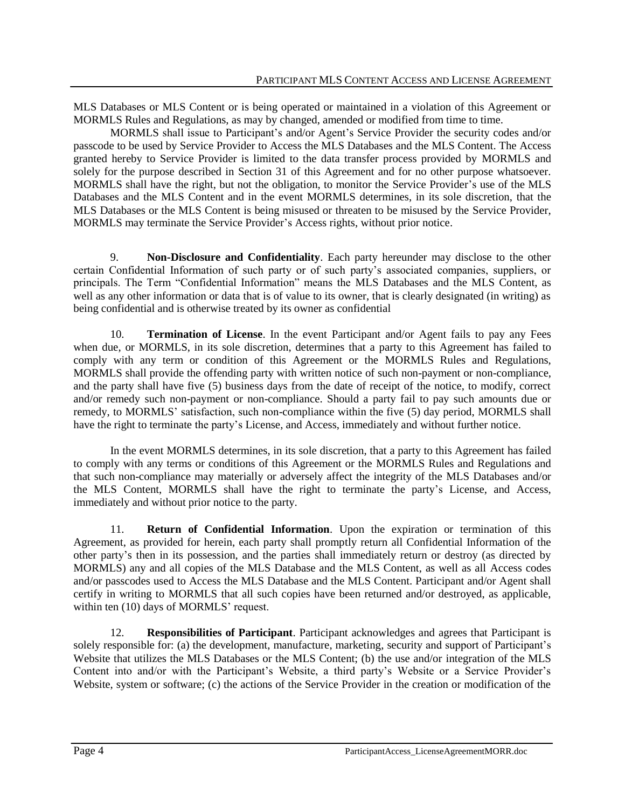MLS Databases or MLS Content or is being operated or maintained in a violation of this Agreement or MORMLS Rules and Regulations, as may by changed, amended or modified from time to time.

MORMLS shall issue to Participant's and/or Agent's Service Provider the security codes and/or passcode to be used by Service Provider to Access the MLS Databases and the MLS Content. The Access granted hereby to Service Provider is limited to the data transfer process provided by MORMLS and solely for the purpose described in Section 31 of this Agreement and for no other purpose whatsoever. MORMLS shall have the right, but not the obligation, to monitor the Service Provider's use of the MLS Databases and the MLS Content and in the event MORMLS determines, in its sole discretion, that the MLS Databases or the MLS Content is being misused or threaten to be misused by the Service Provider, MORMLS may terminate the Service Provider's Access rights, without prior notice.

9. **Non-Disclosure and Confidentiality**. Each party hereunder may disclose to the other certain Confidential Information of such party or of such party's associated companies, suppliers, or principals. The Term "Confidential Information" means the MLS Databases and the MLS Content, as well as any other information or data that is of value to its owner, that is clearly designated (in writing) as being confidential and is otherwise treated by its owner as confidential

10. **Termination of License**. In the event Participant and/or Agent fails to pay any Fees when due, or MORMLS, in its sole discretion, determines that a party to this Agreement has failed to comply with any term or condition of this Agreement or the MORMLS Rules and Regulations, MORMLS shall provide the offending party with written notice of such non-payment or non-compliance, and the party shall have five (5) business days from the date of receipt of the notice, to modify, correct and/or remedy such non-payment or non-compliance. Should a party fail to pay such amounts due or remedy, to MORMLS' satisfaction, such non-compliance within the five (5) day period, MORMLS shall have the right to terminate the party's License, and Access, immediately and without further notice.

In the event MORMLS determines, in its sole discretion, that a party to this Agreement has failed to comply with any terms or conditions of this Agreement or the MORMLS Rules and Regulations and that such non-compliance may materially or adversely affect the integrity of the MLS Databases and/or the MLS Content, MORMLS shall have the right to terminate the party's License, and Access, immediately and without prior notice to the party.

11. **Return of Confidential Information**. Upon the expiration or termination of this Agreement, as provided for herein, each party shall promptly return all Confidential Information of the other party's then in its possession, and the parties shall immediately return or destroy (as directed by MORMLS) any and all copies of the MLS Database and the MLS Content, as well as all Access codes and/or passcodes used to Access the MLS Database and the MLS Content. Participant and/or Agent shall certify in writing to MORMLS that all such copies have been returned and/or destroyed, as applicable, within ten (10) days of MORMLS' request.

12. **Responsibilities of Participant**. Participant acknowledges and agrees that Participant is solely responsible for: (a) the development, manufacture, marketing, security and support of Participant's Website that utilizes the MLS Databases or the MLS Content; (b) the use and/or integration of the MLS Content into and/or with the Participant's Website, a third party's Website or a Service Provider's Website, system or software; (c) the actions of the Service Provider in the creation or modification of the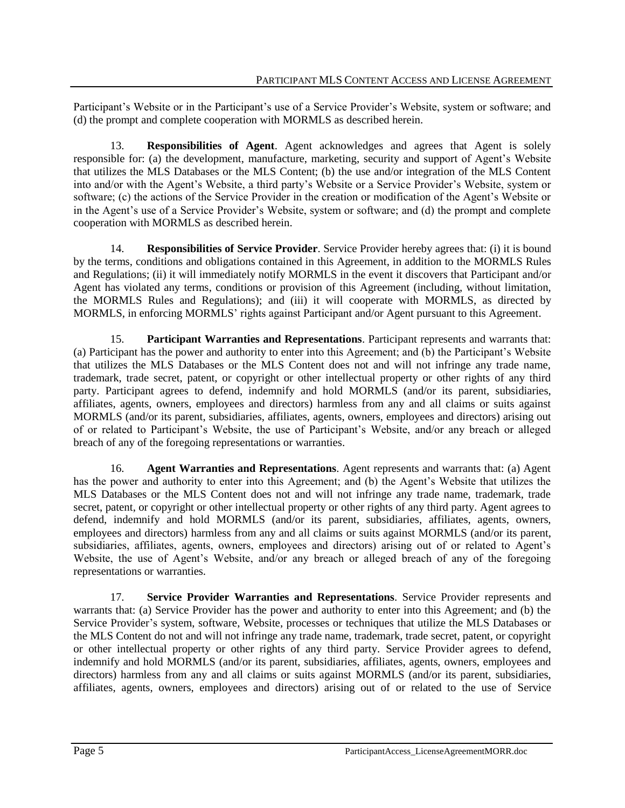Participant's Website or in the Participant's use of a Service Provider's Website, system or software; and (d) the prompt and complete cooperation with MORMLS as described herein.

13. **Responsibilities of Agent**. Agent acknowledges and agrees that Agent is solely responsible for: (a) the development, manufacture, marketing, security and support of Agent's Website that utilizes the MLS Databases or the MLS Content; (b) the use and/or integration of the MLS Content into and/or with the Agent's Website, a third party's Website or a Service Provider's Website, system or software; (c) the actions of the Service Provider in the creation or modification of the Agent's Website or in the Agent's use of a Service Provider's Website, system or software; and (d) the prompt and complete cooperation with MORMLS as described herein.

14. **Responsibilities of Service Provider**. Service Provider hereby agrees that: (i) it is bound by the terms, conditions and obligations contained in this Agreement, in addition to the MORMLS Rules and Regulations; (ii) it will immediately notify MORMLS in the event it discovers that Participant and/or Agent has violated any terms, conditions or provision of this Agreement (including, without limitation, the MORMLS Rules and Regulations); and (iii) it will cooperate with MORMLS, as directed by MORMLS, in enforcing MORMLS' rights against Participant and/or Agent pursuant to this Agreement.

15. **Participant Warranties and Representations**. Participant represents and warrants that: (a) Participant has the power and authority to enter into this Agreement; and (b) the Participant's Website that utilizes the MLS Databases or the MLS Content does not and will not infringe any trade name, trademark, trade secret, patent, or copyright or other intellectual property or other rights of any third party. Participant agrees to defend, indemnify and hold MORMLS (and/or its parent, subsidiaries, affiliates, agents, owners, employees and directors) harmless from any and all claims or suits against MORMLS (and/or its parent, subsidiaries, affiliates, agents, owners, employees and directors) arising out of or related to Participant's Website, the use of Participant's Website, and/or any breach or alleged breach of any of the foregoing representations or warranties.

16. **Agent Warranties and Representations**. Agent represents and warrants that: (a) Agent has the power and authority to enter into this Agreement; and (b) the Agent's Website that utilizes the MLS Databases or the MLS Content does not and will not infringe any trade name, trademark, trade secret, patent, or copyright or other intellectual property or other rights of any third party. Agent agrees to defend, indemnify and hold MORMLS (and/or its parent, subsidiaries, affiliates, agents, owners, employees and directors) harmless from any and all claims or suits against MORMLS (and/or its parent, subsidiaries, affiliates, agents, owners, employees and directors) arising out of or related to Agent's Website, the use of Agent's Website, and/or any breach or alleged breach of any of the foregoing representations or warranties.

17. **Service Provider Warranties and Representations**. Service Provider represents and warrants that: (a) Service Provider has the power and authority to enter into this Agreement; and (b) the Service Provider's system, software, Website, processes or techniques that utilize the MLS Databases or the MLS Content do not and will not infringe any trade name, trademark, trade secret, patent, or copyright or other intellectual property or other rights of any third party. Service Provider agrees to defend, indemnify and hold MORMLS (and/or its parent, subsidiaries, affiliates, agents, owners, employees and directors) harmless from any and all claims or suits against MORMLS (and/or its parent, subsidiaries, affiliates, agents, owners, employees and directors) arising out of or related to the use of Service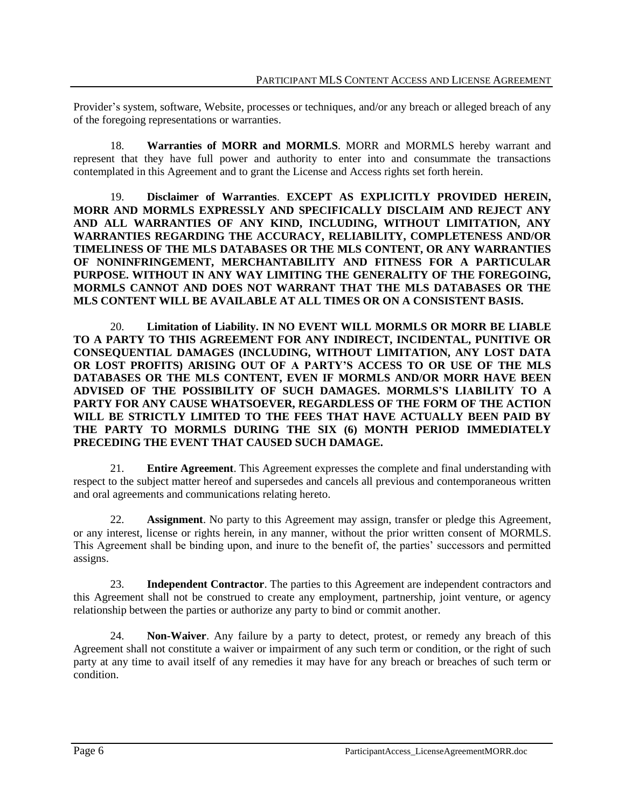Provider's system, software, Website, processes or techniques, and/or any breach or alleged breach of any of the foregoing representations or warranties.

18. **Warranties of MORR and MORMLS**. MORR and MORMLS hereby warrant and represent that they have full power and authority to enter into and consummate the transactions contemplated in this Agreement and to grant the License and Access rights set forth herein.

19. **Disclaimer of Warranties**. **EXCEPT AS EXPLICITLY PROVIDED HEREIN, MORR AND MORMLS EXPRESSLY AND SPECIFICALLY DISCLAIM AND REJECT ANY AND ALL WARRANTIES OF ANY KIND, INCLUDING, WITHOUT LIMITATION, ANY WARRANTIES REGARDING THE ACCURACY, RELIABILITY, COMPLETENESS AND/OR TIMELINESS OF THE MLS DATABASES OR THE MLS CONTENT, OR ANY WARRANTIES OF NONINFRINGEMENT, MERCHANTABILITY AND FITNESS FOR A PARTICULAR PURPOSE. WITHOUT IN ANY WAY LIMITING THE GENERALITY OF THE FOREGOING, MORMLS CANNOT AND DOES NOT WARRANT THAT THE MLS DATABASES OR THE MLS CONTENT WILL BE AVAILABLE AT ALL TIMES OR ON A CONSISTENT BASIS.** 

20. **Limitation of Liability. IN NO EVENT WILL MORMLS OR MORR BE LIABLE TO A PARTY TO THIS AGREEMENT FOR ANY INDIRECT, INCIDENTAL, PUNITIVE OR CONSEQUENTIAL DAMAGES (INCLUDING, WITHOUT LIMITATION, ANY LOST DATA OR LOST PROFITS) ARISING OUT OF A PARTY'S ACCESS TO OR USE OF THE MLS DATABASES OR THE MLS CONTENT, EVEN IF MORMLS AND/OR MORR HAVE BEEN ADVISED OF THE POSSIBILITY OF SUCH DAMAGES. MORMLS'S LIABILITY TO A PARTY FOR ANY CAUSE WHATSOEVER, REGARDLESS OF THE FORM OF THE ACTION WILL BE STRICTLY LIMITED TO THE FEES THAT HAVE ACTUALLY BEEN PAID BY THE PARTY TO MORMLS DURING THE SIX (6) MONTH PERIOD IMMEDIATELY PRECEDING THE EVENT THAT CAUSED SUCH DAMAGE.**

21. **Entire Agreement**. This Agreement expresses the complete and final understanding with respect to the subject matter hereof and supersedes and cancels all previous and contemporaneous written and oral agreements and communications relating hereto.

22. **Assignment**. No party to this Agreement may assign, transfer or pledge this Agreement, or any interest, license or rights herein, in any manner, without the prior written consent of MORMLS. This Agreement shall be binding upon, and inure to the benefit of, the parties' successors and permitted assigns.

23. **Independent Contractor**. The parties to this Agreement are independent contractors and this Agreement shall not be construed to create any employment, partnership, joint venture, or agency relationship between the parties or authorize any party to bind or commit another.

24. **Non-Waiver**. Any failure by a party to detect, protest, or remedy any breach of this Agreement shall not constitute a waiver or impairment of any such term or condition, or the right of such party at any time to avail itself of any remedies it may have for any breach or breaches of such term or condition.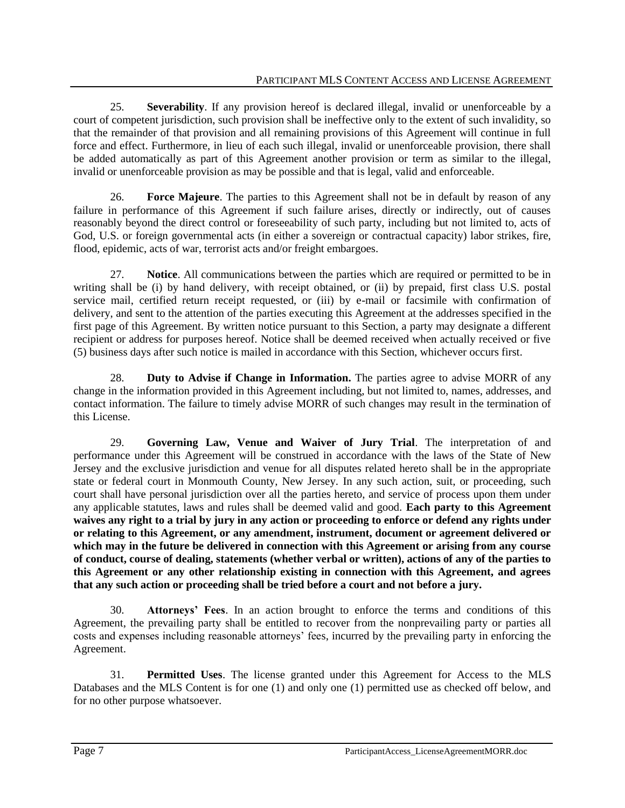25. **Severability**. If any provision hereof is declared illegal, invalid or unenforceable by a court of competent jurisdiction, such provision shall be ineffective only to the extent of such invalidity, so that the remainder of that provision and all remaining provisions of this Agreement will continue in full force and effect. Furthermore, in lieu of each such illegal, invalid or unenforceable provision, there shall be added automatically as part of this Agreement another provision or term as similar to the illegal, invalid or unenforceable provision as may be possible and that is legal, valid and enforceable.

26. **Force Majeure**. The parties to this Agreement shall not be in default by reason of any failure in performance of this Agreement if such failure arises, directly or indirectly, out of causes reasonably beyond the direct control or foreseeability of such party, including but not limited to, acts of God, U.S. or foreign governmental acts (in either a sovereign or contractual capacity) labor strikes, fire, flood, epidemic, acts of war, terrorist acts and/or freight embargoes.

27. **Notice**. All communications between the parties which are required or permitted to be in writing shall be (i) by hand delivery, with receipt obtained, or (ii) by prepaid, first class U.S. postal service mail, certified return receipt requested, or (iii) by e-mail or facsimile with confirmation of delivery, and sent to the attention of the parties executing this Agreement at the addresses specified in the first page of this Agreement. By written notice pursuant to this Section, a party may designate a different recipient or address for purposes hereof. Notice shall be deemed received when actually received or five (5) business days after such notice is mailed in accordance with this Section, whichever occurs first.

28. **Duty to Advise if Change in Information.** The parties agree to advise MORR of any change in the information provided in this Agreement including, but not limited to, names, addresses, and contact information. The failure to timely advise MORR of such changes may result in the termination of this License.

29. **Governing Law, Venue and Waiver of Jury Trial**. The interpretation of and performance under this Agreement will be construed in accordance with the laws of the State of New Jersey and the exclusive jurisdiction and venue for all disputes related hereto shall be in the appropriate state or federal court in Monmouth County, New Jersey. In any such action, suit, or proceeding, such court shall have personal jurisdiction over all the parties hereto, and service of process upon them under any applicable statutes, laws and rules shall be deemed valid and good. **Each party to this Agreement waives any right to a trial by jury in any action or proceeding to enforce or defend any rights under or relating to this Agreement, or any amendment, instrument, document or agreement delivered or which may in the future be delivered in connection with this Agreement or arising from any course of conduct, course of dealing, statements (whether verbal or written), actions of any of the parties to this Agreement or any other relationship existing in connection with this Agreement, and agrees that any such action or proceeding shall be tried before a court and not before a jury.**

30. **Attorneys' Fees**. In an action brought to enforce the terms and conditions of this Agreement, the prevailing party shall be entitled to recover from the nonprevailing party or parties all costs and expenses including reasonable attorneys' fees, incurred by the prevailing party in enforcing the Agreement.

31. **Permitted Uses**. The license granted under this Agreement for Access to the MLS Databases and the MLS Content is for one (1) and only one (1) permitted use as checked off below, and for no other purpose whatsoever.